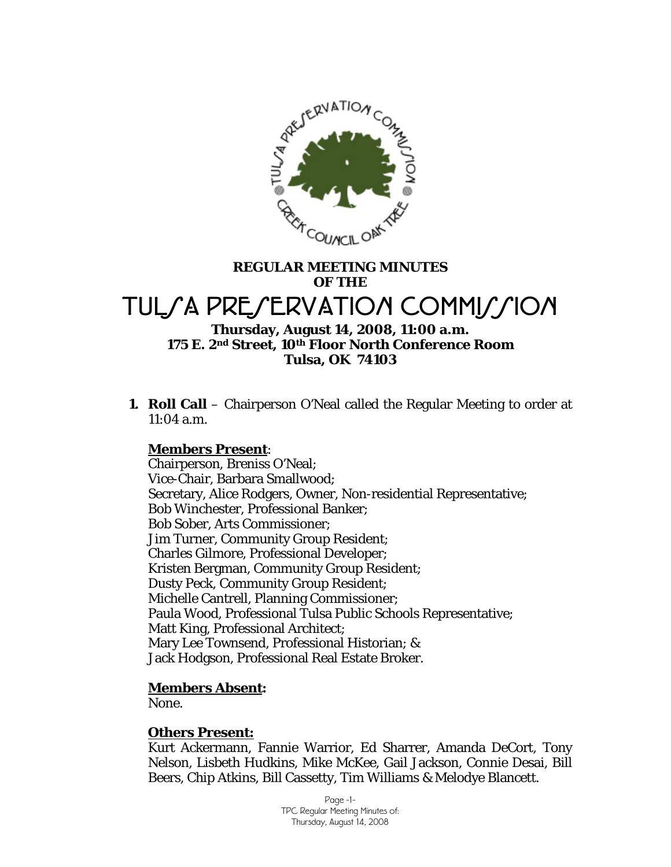

# **REGULAR MEETING MINUTES OF THE**  TUL*SA PRESERVATION COMMISSION*

### **Thursday, August 14, 2008, 11:00 a.m. 175 E. 2nd Street, 10th Floor North Conference Room Tulsa, OK 74103**

**1. Roll Call** – Chairperson O'Neal called the Regular Meeting to order at 11:04 a.m.

### **Members Present**:

Chairperson, Breniss O'Neal; Vice-Chair, Barbara Smallwood; Secretary, Alice Rodgers, Owner, Non-residential Representative; Bob Winchester, Professional Banker; Bob Sober, Arts Commissioner; Jim Turner, Community Group Resident; Charles Gilmore, Professional Developer; Kristen Bergman, Community Group Resident; Dusty Peck, Community Group Resident; Michelle Cantrell, Planning Commissioner; Paula Wood, Professional Tulsa Public Schools Representative; Matt King, Professional Architect; Mary Lee Townsend, Professional Historian; & Jack Hodgson, Professional Real Estate Broker.

### **Members Absent:**

None.

### **Others Present:**

Kurt Ackermann, Fannie Warrior, Ed Sharrer, Amanda DeCort, Tony Nelson, Lisbeth Hudkins, Mike McKee, Gail Jackson, Connie Desai, Bill Beers, Chip Atkins, Bill Cassetty, Tim Williams & Melodye Blancett.

> Page -1- TPC Regular Meeting Minutes of: Thursday, August 14, 2008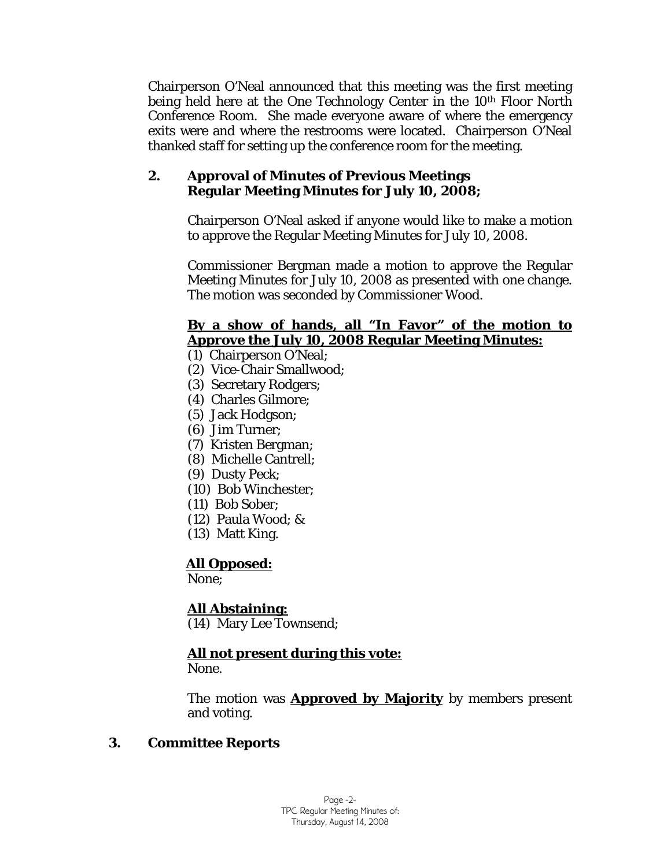Chairperson O'Neal announced that this meeting was the first meeting being held here at the One Technology Center in the 10<sup>th</sup> Floor North Conference Room. She made everyone aware of where the emergency exits were and where the restrooms were located. Chairperson O'Neal thanked staff for setting up the conference room for the meeting.

### **2. Approval of Minutes of Previous Meetings Regular Meeting Minutes for July 10, 2008;**

Chairperson O'Neal asked if anyone would like to make a motion to approve the Regular Meeting Minutes for July 10, 2008.

Commissioner Bergman made a motion to approve the Regular Meeting Minutes for July 10, 2008 as presented with one change. The motion was seconded by Commissioner Wood.

### **By a show of hands, all "In Favor" of the motion to Approve the July 10, 2008 Regular Meeting Minutes:**

(1) Chairperson O'Neal;

- (2) Vice-Chair Smallwood;
- (3) Secretary Rodgers;
- (4) Charles Gilmore;
- (5) Jack Hodgson;
- (6) Jim Turner;
- (7) Kristen Bergman;
- (8) Michelle Cantrell;
- (9) Dusty Peck;
- (10) Bob Winchester;
- (11) Bob Sober;
- (12) Paula Wood; &
- (13) Matt King.

# **All Opposed:**

None;

# **All Abstaining:**

(14) Mary Lee Townsend;

# **All not present during this vote:**

None.

The motion was **Approved by Majority** by members present and voting.

# **3. Committee Reports**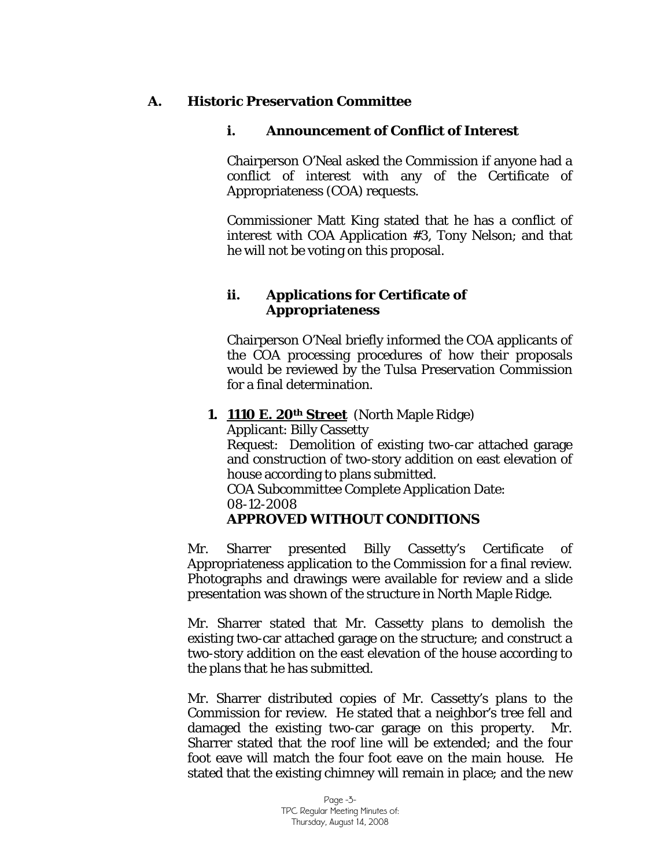### **A. Historic Preservation Committee**

### **i. Announcement of Conflict of Interest**

Chairperson O'Neal asked the Commission if anyone had a conflict of interest with any of the Certificate of Appropriateness (COA) requests.

Commissioner Matt King stated that he has a conflict of interest with COA Application #3, Tony Nelson; and that he will not be voting on this proposal.

### **ii. Applications for Certificate of Appropriateness**

Chairperson O'Neal briefly informed the COA applicants of the COA processing procedures of how their proposals would be reviewed by the Tulsa Preservation Commission for a final determination.

### **1. 1110 E. 20th Street** (North Maple Ridge)

Applicant: Billy Cassetty Request: Demolition of existing two-car attached garage and construction of two-story addition on east elevation of house according to plans submitted. COA Subcommittee Complete Application Date:

08-12-2008

# **APPROVED WITHOUT CONDITIONS**

Mr. Sharrer presented Billy Cassetty's Certificate of Appropriateness application to the Commission for a final review. Photographs and drawings were available for review and a slide presentation was shown of the structure in North Maple Ridge.

Mr. Sharrer stated that Mr. Cassetty plans to demolish the existing two-car attached garage on the structure; and construct a two-story addition on the east elevation of the house according to the plans that he has submitted.

Mr. Sharrer distributed copies of Mr. Cassetty's plans to the Commission for review. He stated that a neighbor's tree fell and damaged the existing two-car garage on this property. Mr. Sharrer stated that the roof line will be extended; and the four foot eave will match the four foot eave on the main house. He stated that the existing chimney will remain in place; and the new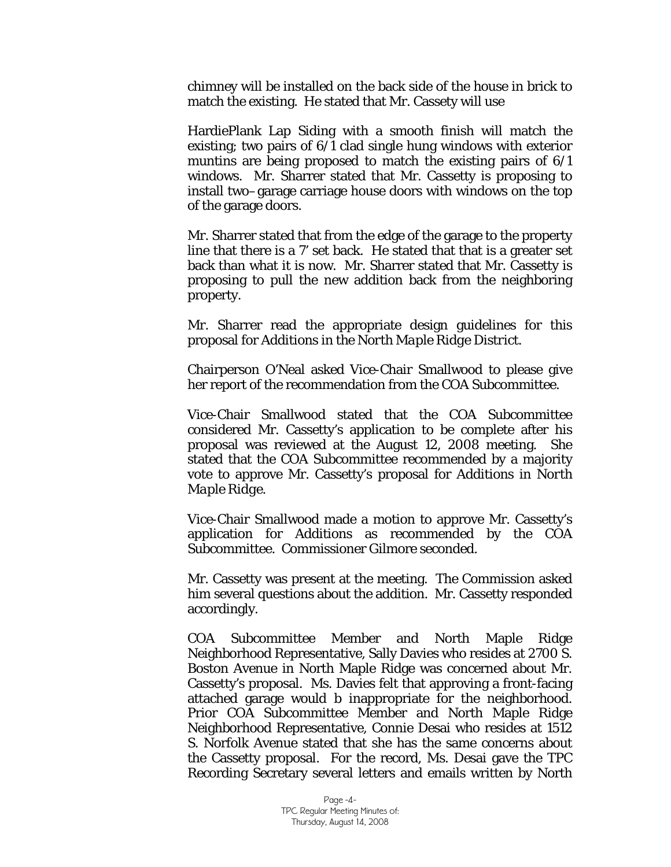chimney will be installed on the back side of the house in brick to match the existing. He stated that Mr. Cassety will use

HardiePlank Lap Siding with a smooth finish will match the existing; two pairs of  $6/1$  clad single hung windows with exterior muntins are being proposed to match the existing pairs of 6/1 windows. Mr. Sharrer stated that Mr. Cassetty is proposing to install two–garage carriage house doors with windows on the top of the garage doors.

Mr. Sharrer stated that from the edge of the garage to the property line that there is a 7' set back. He stated that that is a greater set back than what it is now. Mr. Sharrer stated that Mr. Cassetty is proposing to pull the new addition back from the neighboring property.

Mr. Sharrer read the appropriate design guidelines for this proposal for *Additions in the North Maple Ridge District.* 

Chairperson O'Neal asked Vice-Chair Smallwood to please give her report of the recommendation from the COA Subcommittee.

Vice-Chair Smallwood stated that the COA Subcommittee considered Mr. Cassetty's application to be complete after his proposal was reviewed at the August 12, 2008 meeting. She stated that the COA Subcommittee recommended by a majority vote to approve Mr. Cassetty's proposal for *Additions in North Maple Ridge*.

Vice-Chair Smallwood made a motion to approve Mr. Cassetty's application for Additions as recommended by the COA Subcommittee. Commissioner Gilmore seconded.

Mr. Cassetty was present at the meeting. The Commission asked him several questions about the addition. Mr. Cassetty responded accordingly.

COA Subcommittee Member and North Maple Ridge Neighborhood Representative, Sally Davies who resides at 2700 S. Boston Avenue in North Maple Ridge was concerned about Mr. Cassetty's proposal. Ms. Davies felt that approving a front-facing attached garage would b inappropriate for the neighborhood. Prior COA Subcommittee Member and North Maple Ridge Neighborhood Representative, Connie Desai who resides at 1512 S. Norfolk Avenue stated that she has the same concerns about the Cassetty proposal. For the record, Ms. Desai gave the TPC Recording Secretary several letters and emails written by North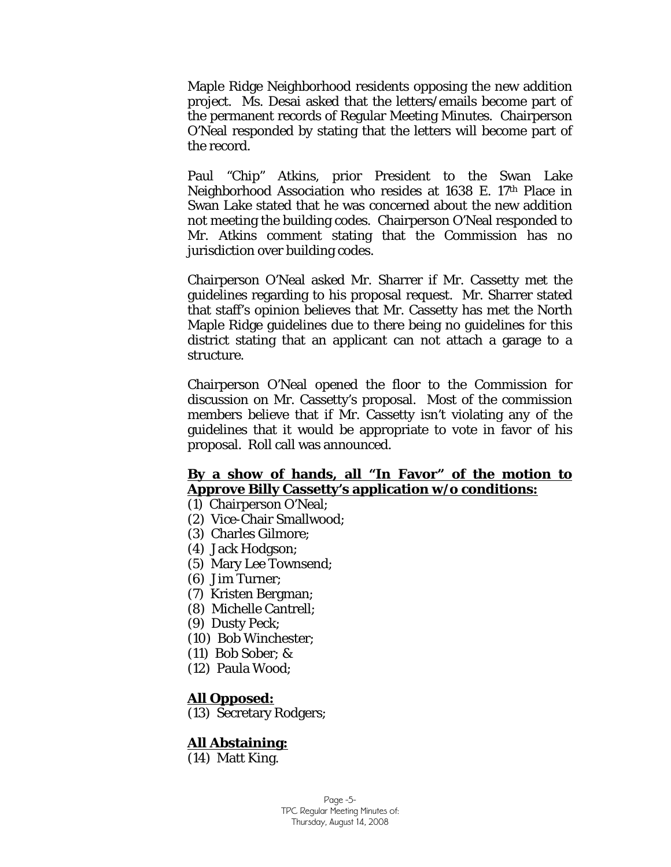Maple Ridge Neighborhood residents opposing the new addition project. Ms. Desai asked that the letters/emails become part of the permanent records of Regular Meeting Minutes. Chairperson O'Neal responded by stating that the letters will become part of the record.

Paul "Chip" Atkins, prior President to the Swan Lake Neighborhood Association who resides at 1638 E. 17th Place in Swan Lake stated that he was concerned about the new addition not meeting the building codes. Chairperson O'Neal responded to Mr. Atkins comment stating that the Commission has no jurisdiction over building codes.

Chairperson O'Neal asked Mr. Sharrer if Mr. Cassetty met the guidelines regarding to his proposal request. Mr. Sharrer stated that staff's opinion believes that Mr. Cassetty has met the North Maple Ridge guidelines due to there being no guidelines for this district stating that an applicant can not attach a garage to a structure.

Chairperson O'Neal opened the floor to the Commission for discussion on Mr. Cassetty's proposal. Most of the commission members believe that if Mr. Cassetty isn't violating any of the guidelines that it would be appropriate to vote in favor of his proposal. Roll call was announced.

# **By a show of hands, all "In Favor" of the motion to Approve Billy Cassetty's application w/o conditions:**

- (1) Chairperson O'Neal;
- (2) Vice-Chair Smallwood;
- (3) Charles Gilmore;
- (4) Jack Hodgson;
- (5) Mary Lee Townsend;
- (6) Jim Turner;
- (7) Kristen Bergman;
- (8) Michelle Cantrell;
- (9) Dusty Peck;
- (10) Bob Winchester;
- (11) Bob Sober; &
- (12) Paula Wood;

### **All Opposed:**

(13) Secretary Rodgers;

### **All Abstaining:**

(14) Matt King.

Page -5- TPC Regular Meeting Minutes of: Thursday, August 14, 2008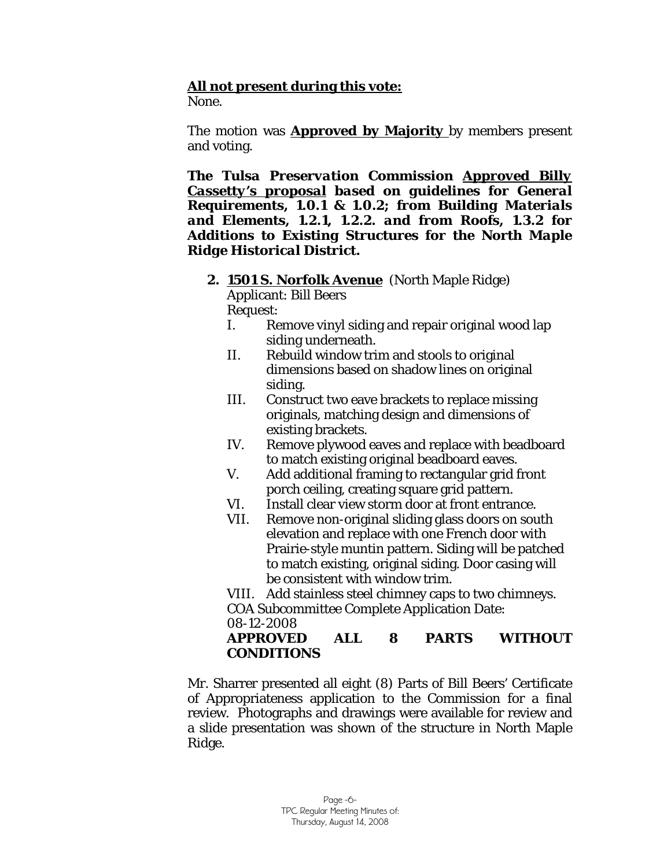# **All not present during this vote:**

None.

The motion was **Approved by Majority** by members present and voting.

*The Tulsa Preservation Commission Approved Billy Cassetty's proposal based on guidelines for General Requirements, 1.0.1 & 1.0.2; from Building Materials and Elements, 1.2.1, 1.2.2. and from Roofs, 1.3.2 for Additions to Existing Structures for the North Maple Ridge Historical District.* 

**2. 1501 S. Norfolk Avenue** (North Maple Ridge) Applicant: Bill Beers

Request:

- I. Remove vinyl siding and repair original wood lap siding underneath.
- II. Rebuild window trim and stools to original dimensions based on shadow lines on original siding.
- III. Construct two eave brackets to replace missing originals, matching design and dimensions of existing brackets.
- IV. Remove plywood eaves and replace with beadboard to match existing original beadboard eaves.
- V. Add additional framing to rectangular grid front porch ceiling, creating square grid pattern.
- VI. Install clear view storm door at front entrance.
- VII. Remove non-original sliding glass doors on south elevation and replace with one French door with Prairie-style muntin pattern. Siding will be patched to match existing, original siding. Door casing will be consistent with window trim.

VIII. Add stainless steel chimney caps to two chimneys. COA Subcommittee Complete Application Date:

08-12-2008

### **APPROVED ALL 8 PARTS WITHOUT CONDITIONS**

Mr. Sharrer presented all eight (8) Parts of Bill Beers' Certificate of Appropriateness application to the Commission for a final review. Photographs and drawings were available for review and a slide presentation was shown of the structure in North Maple Ridge.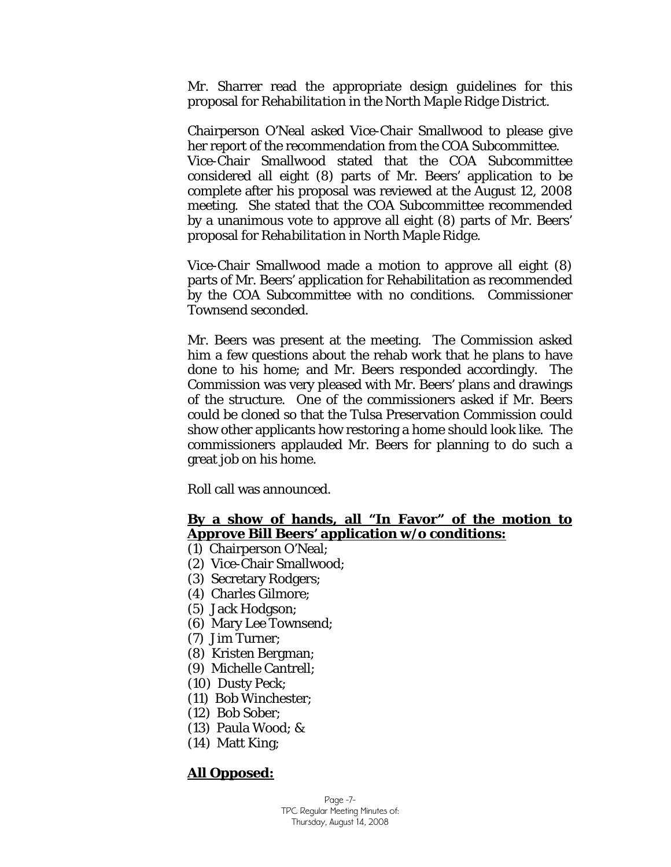Mr. Sharrer read the appropriate design guidelines for this proposal for *Rehabilitation in the North Maple Ridge District.* 

Chairperson O'Neal asked Vice-Chair Smallwood to please give her report of the recommendation from the COA Subcommittee. Vice-Chair Smallwood stated that the COA Subcommittee considered all eight (8) parts of Mr. Beers' application to be complete after his proposal was reviewed at the August 12, 2008 meeting. She stated that the COA Subcommittee recommended by a unanimous vote to approve all eight (8) parts of Mr. Beers' proposal for *Rehabilitation in North Maple Ridge*.

Vice-Chair Smallwood made a motion to approve all eight (8) parts of Mr. Beers' application for Rehabilitation as recommended by the COA Subcommittee with no conditions. Commissioner Townsend seconded.

Mr. Beers was present at the meeting. The Commission asked him a few questions about the rehab work that he plans to have done to his home; and Mr. Beers responded accordingly. The Commission was very pleased with Mr. Beers' plans and drawings of the structure. One of the commissioners asked if Mr. Beers could be cloned so that the Tulsa Preservation Commission could show other applicants how restoring a home should look like. The commissioners applauded Mr. Beers for planning to do such a great job on his home.

Roll call was announced.

### **By a show of hands, all "In Favor" of the motion to Approve Bill Beers' application w/o conditions:**

- (1) Chairperson O'Neal;
- (2) Vice-Chair Smallwood;
- (3) Secretary Rodgers;
- (4) Charles Gilmore;
- (5) Jack Hodgson;
- (6) Mary Lee Townsend;
- (7) Jim Turner;
- (8) Kristen Bergman;
- (9) Michelle Cantrell;
- (10) Dusty Peck;
- (11) Bob Winchester;
- (12) Bob Sober;
- (13) Paula Wood; &
- (14) Matt King;

### **All Opposed:**

Page -7- TPC Regular Meeting Minutes of: Thursday, August 14, 2008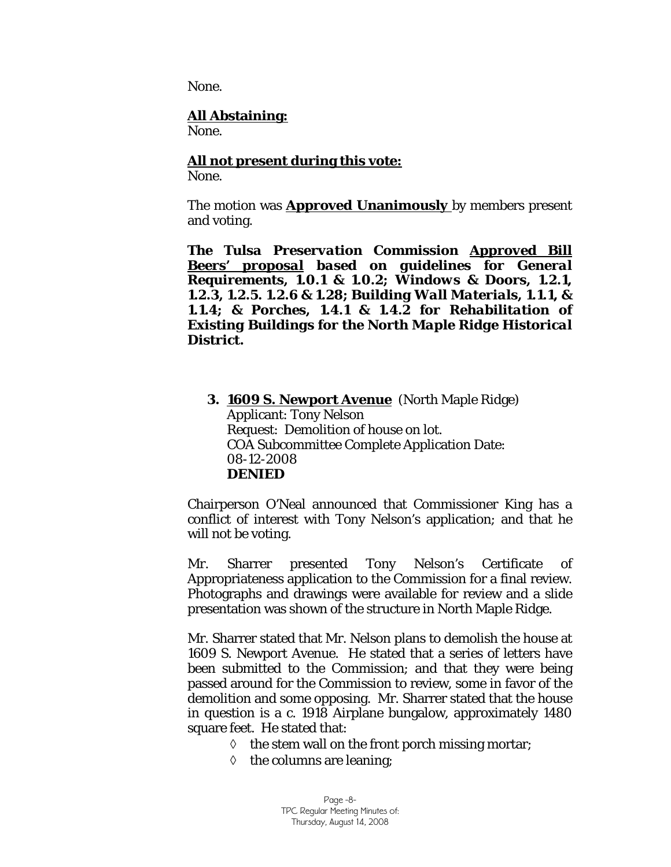None.

### **All Abstaining:**

None.

### **All not present during this vote:**

None.

The motion was **Approved Unanimously** by members present and voting.

*The Tulsa Preservation Commission Approved Bill Beers' proposal based on guidelines for General Requirements, 1.0.1 & 1.0.2; Windows & Doors, 1.2.1, 1.2.3, 1.2.5. 1.2.6 & 1.28; Building Wall Materials, 1.1.1, & 1.1.4; & Porches, 1.4.1 & 1.4.2 for Rehabilitation of Existing Buildings for the North Maple Ridge Historical District.* 

**3. 1609 S. Newport Avenue** (North Maple Ridge) Applicant: Tony Nelson Request: Demolition of house on lot. COA Subcommittee Complete Application Date: 08-12-2008 **DENIED** 

Chairperson O'Neal announced that Commissioner King has a conflict of interest with Tony Nelson's application; and that he will not be voting.

Mr. Sharrer presented Tony Nelson's Certificate of Appropriateness application to the Commission for a final review. Photographs and drawings were available for review and a slide presentation was shown of the structure in North Maple Ridge.

Mr. Sharrer stated that Mr. Nelson plans to demolish the house at 1609 S. Newport Avenue. He stated that a series of letters have been submitted to the Commission; and that they were being passed around for the Commission to review, some in favor of the demolition and some opposing. Mr. Sharrer stated that the house in question is a c. 1918 Airplane bungalow, approximately 1480 square feet. He stated that:

- ◊ the stem wall on the front porch missing mortar;
- $\diamond$  the columns are leaning;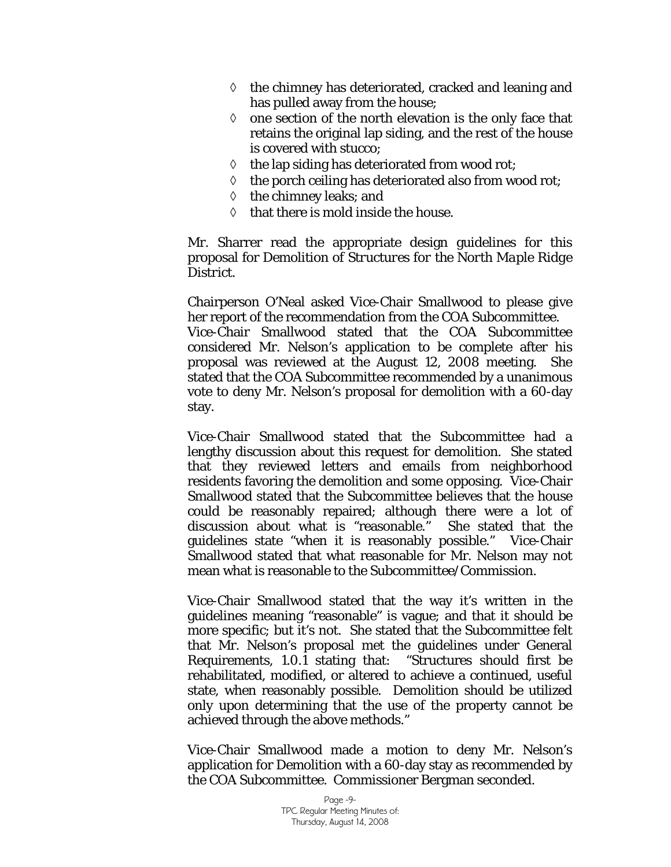- ◊ the chimney has deteriorated, cracked and leaning and has pulled away from the house;
- $\Diamond$  one section of the north elevation is the only face that retains the original lap siding, and the rest of the house is covered with stucco;
- $\Diamond$  the lap siding has deteriorated from wood rot;
- ◊ the porch ceiling has deteriorated also from wood rot;
- ◊ the chimney leaks; and
- ◊ that there is mold inside the house.

Mr. Sharrer read the appropriate design guidelines for this proposal for *Demolition of Structures for the North Maple Ridge District.* 

Chairperson O'Neal asked Vice-Chair Smallwood to please give her report of the recommendation from the COA Subcommittee. Vice-Chair Smallwood stated that the COA Subcommittee considered Mr. Nelson's application to be complete after his proposal was reviewed at the August 12, 2008 meeting. She stated that the COA Subcommittee recommended by a unanimous vote to deny Mr. Nelson's proposal for demolition with a 60-day stay.

Vice-Chair Smallwood stated that the Subcommittee had a lengthy discussion about this request for demolition. She stated that they reviewed letters and emails from neighborhood residents favoring the demolition and some opposing. Vice-Chair Smallwood stated that the Subcommittee believes that the house could be reasonably repaired; although there were a lot of discussion about what is "reasonable." She stated that the guidelines state "when it is reasonably possible." Vice-Chair Smallwood stated that what reasonable for Mr. Nelson may not mean what is reasonable to the Subcommittee/Commission.

Vice-Chair Smallwood stated that the way it's written in the guidelines meaning "reasonable" is vague; and that it should be more specific; but it's not. She stated that the Subcommittee felt that Mr. Nelson's proposal met the guidelines under General Requirements, 1.0.1 stating that: "Structures should first be rehabilitated, modified, or altered to achieve a continued, useful state, when reasonably possible. Demolition should be utilized only upon determining that the use of the property cannot be achieved through the above methods."

Vice-Chair Smallwood made a motion to deny Mr. Nelson's application for Demolition with a 60-day stay as recommended by the COA Subcommittee. Commissioner Bergman seconded.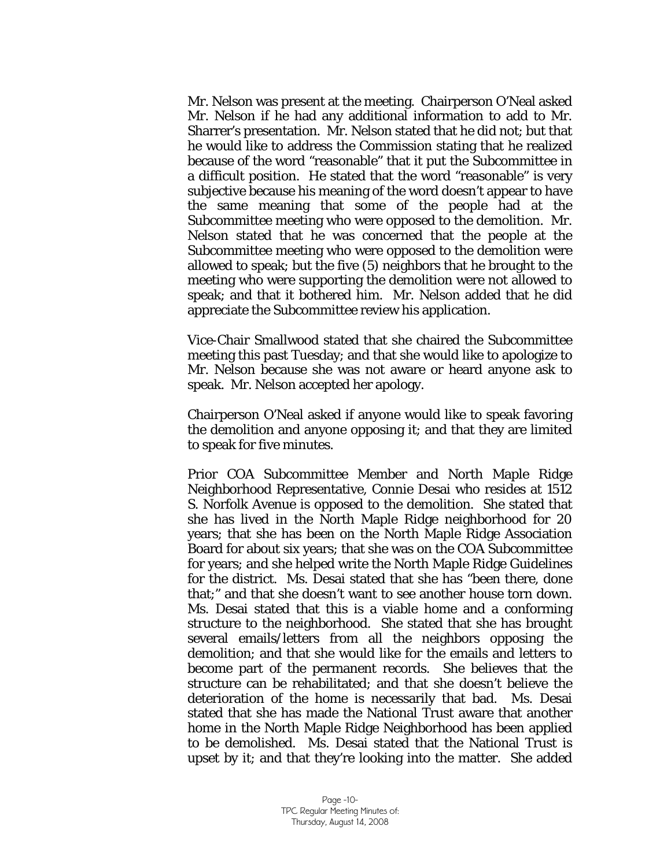Mr. Nelson was present at the meeting. Chairperson O'Neal asked Mr. Nelson if he had any additional information to add to Mr. Sharrer's presentation. Mr. Nelson stated that he did not; but that he would like to address the Commission stating that he realized because of the word "reasonable" that it put the Subcommittee in a difficult position. He stated that the word "reasonable" is very subjective because his meaning of the word doesn't appear to have the same meaning that some of the people had at the Subcommittee meeting who were opposed to the demolition. Mr. Nelson stated that he was concerned that the people at the Subcommittee meeting who were opposed to the demolition were allowed to speak; but the five (5) neighbors that he brought to the meeting who were supporting the demolition were not allowed to speak; and that it bothered him. Mr. Nelson added that he did appreciate the Subcommittee review his application.

Vice-Chair Smallwood stated that she chaired the Subcommittee meeting this past Tuesday; and that she would like to apologize to Mr. Nelson because she was not aware or heard anyone ask to speak. Mr. Nelson accepted her apology.

Chairperson O'Neal asked if anyone would like to speak favoring the demolition and anyone opposing it; and that they are limited to speak for five minutes.

Prior COA Subcommittee Member and North Maple Ridge Neighborhood Representative, Connie Desai who resides at 1512 S. Norfolk Avenue is opposed to the demolition. She stated that she has lived in the North Maple Ridge neighborhood for 20 years; that she has been on the North Maple Ridge Association Board for about six years; that she was on the COA Subcommittee for years; and she helped write the North Maple Ridge Guidelines for the district. Ms. Desai stated that she has "been there, done that;" and that she doesn't want to see another house torn down. Ms. Desai stated that this is a viable home and a conforming structure to the neighborhood. She stated that she has brought several emails/letters from all the neighbors opposing the demolition; and that she would like for the emails and letters to become part of the permanent records. She believes that the structure can be rehabilitated; and that she doesn't believe the deterioration of the home is necessarily that bad. Ms. Desai stated that she has made the National Trust aware that another home in the North Maple Ridge Neighborhood has been applied to be demolished. Ms. Desai stated that the National Trust is upset by it; and that they're looking into the matter. She added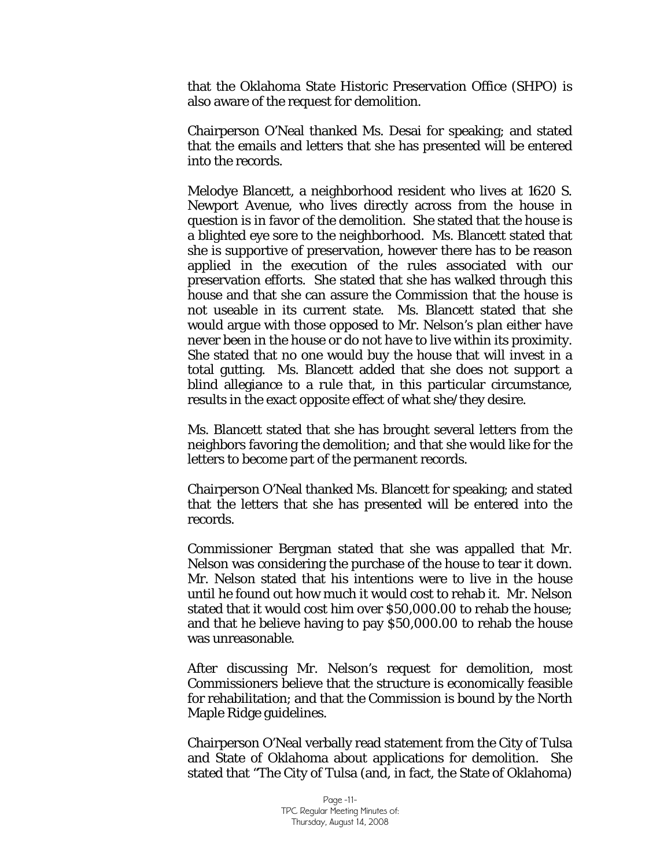that the Oklahoma State Historic Preservation Office (SHPO) is also aware of the request for demolition.

Chairperson O'Neal thanked Ms. Desai for speaking; and stated that the emails and letters that she has presented will be entered into the records.

Melodye Blancett, a neighborhood resident who lives at 1620 S. Newport Avenue, who lives directly across from the house in question is in favor of the demolition. She stated that the house is a blighted eye sore to the neighborhood. Ms. Blancett stated that she is supportive of preservation, however there has to be reason applied in the execution of the rules associated with our preservation efforts. She stated that she has walked through this house and that she can assure the Commission that the house is not useable in its current state. Ms. Blancett stated that she would argue with those opposed to Mr. Nelson's plan either have never been in the house or do not have to live within its proximity. She stated that no one would buy the house that will invest in a total gutting. Ms. Blancett added that she does not support a blind allegiance to a rule that, in this particular circumstance, results in the exact opposite effect of what she/they desire.

Ms. Blancett stated that she has brought several letters from the neighbors favoring the demolition; and that she would like for the letters to become part of the permanent records.

Chairperson O'Neal thanked Ms. Blancett for speaking; and stated that the letters that she has presented will be entered into the records.

Commissioner Bergman stated that she was appalled that Mr. Nelson was considering the purchase of the house to tear it down. Mr. Nelson stated that his intentions were to live in the house until he found out how much it would cost to rehab it. Mr. Nelson stated that it would cost him over \$50,000.00 to rehab the house; and that he believe having to pay \$50,000.00 to rehab the house was unreasonable.

After discussing Mr. Nelson's request for demolition, most Commissioners believe that the structure is economically feasible for rehabilitation; and that the Commission is bound by the North Maple Ridge guidelines.

Chairperson O'Neal verbally read statement from the City of Tulsa and State of Oklahoma about applications for demolition. She stated that "The City of Tulsa (and, in fact, the State of Oklahoma)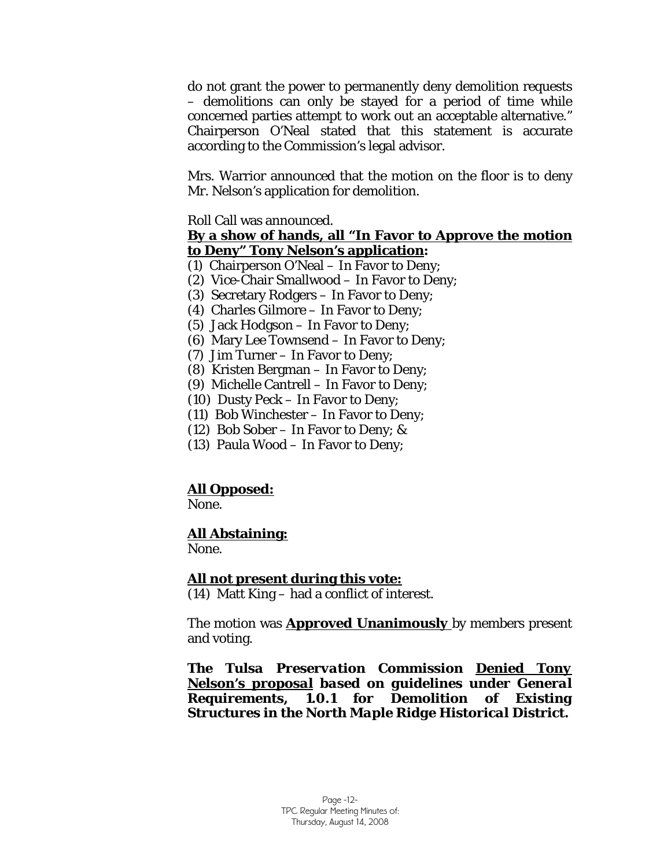do not grant the power to permanently deny demolition requests – demolitions can only be stayed for a period of time while concerned parties attempt to work out an acceptable alternative." Chairperson O'Neal stated that this statement is accurate according to the Commission's legal advisor.

Mrs. Warrior announced that the motion on the floor is to deny Mr. Nelson's application for demolition.

Roll Call was announced.

### **By a show of hands, all "In Favor to Approve the motion to Deny" Tony Nelson's application:**

- (1) Chairperson O'Neal In Favor to Deny;
- (2) Vice-Chair Smallwood In Favor to Deny;
- (3) Secretary Rodgers In Favor to Deny;
- (4) Charles Gilmore In Favor to Deny;
- (5) Jack Hodgson In Favor to Deny;
- (6) Mary Lee Townsend In Favor to Deny;
- (7) Jim Turner In Favor to Deny;
- (8) Kristen Bergman In Favor to Deny;
- (9) Michelle Cantrell In Favor to Deny;
- (10) Dusty Peck In Favor to Deny;
- (11) Bob Winchester In Favor to Deny;
- (12) Bob Sober In Favor to Deny; &
- (13) Paula Wood In Favor to Deny;

# **All Opposed:**

None.

# **All Abstaining:**

None.

### **All not present during this vote:**

(14) Matt King – had a conflict of interest.

The motion was **Approved Unanimously** by members present and voting.

*The Tulsa Preservation Commission Denied Tony Nelson's proposal based on guidelines under General Requirements, 1.0.1 for Demolition of Existing Structures in the North Maple Ridge Historical District.*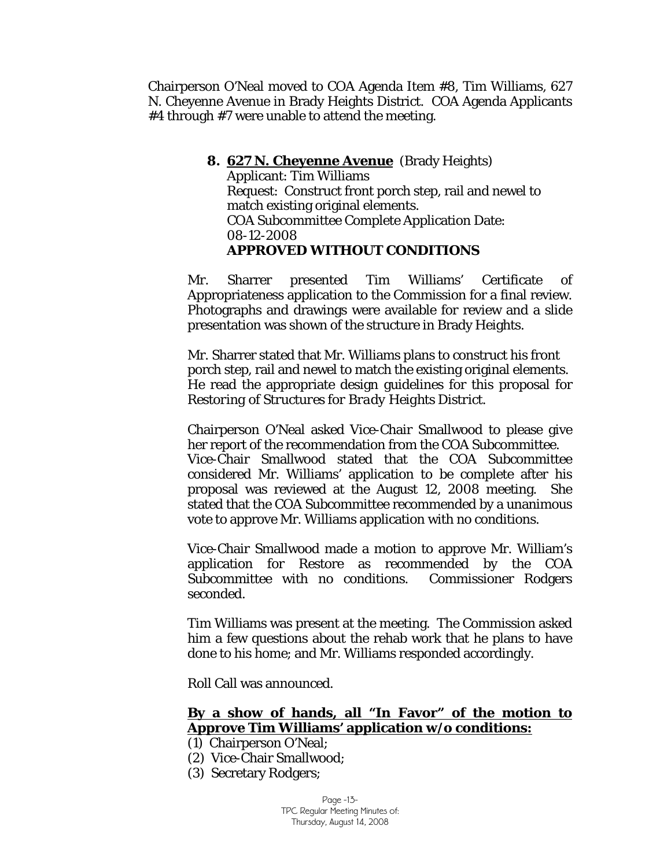Chairperson O'Neal moved to COA Agenda Item #8, Tim Williams, 627 N. Cheyenne Avenue in Brady Heights District. COA Agenda Applicants #4 through #7 were unable to attend the meeting.

> **8. 627 N. Cheyenne Avenue** (Brady Heights) Applicant: Tim Williams Request: Construct front porch step, rail and newel to match existing original elements. COA Subcommittee Complete Application Date: 08-12-2008 **APPROVED WITHOUT CONDITIONS**

Mr. Sharrer presented Tim Williams' Certificate of Appropriateness application to the Commission for a final review. Photographs and drawings were available for review and a slide presentation was shown of the structure in Brady Heights.

Mr. Sharrer stated that Mr. Williams plans to construct his front porch step, rail and newel to match the existing original elements. He read the appropriate design guidelines for this proposal for *Restoring of Structures for Brady Heights District.* 

Chairperson O'Neal asked Vice-Chair Smallwood to please give her report of the recommendation from the COA Subcommittee. Vice-Chair Smallwood stated that the COA Subcommittee considered Mr. Williams' application to be complete after his proposal was reviewed at the August 12, 2008 meeting. She stated that the COA Subcommittee recommended by a unanimous vote to approve Mr. Williams application with no conditions.

Vice-Chair Smallwood made a motion to approve Mr. William's application for Restore as recommended by the COA Subcommittee with no conditions. Commissioner Rodgers seconded.

Tim Williams was present at the meeting. The Commission asked him a few questions about the rehab work that he plans to have done to his home; and Mr. Williams responded accordingly.

Roll Call was announced.

### **By a show of hands, all "In Favor" of the motion to Approve Tim Williams' application w/o conditions:**

- (1) Chairperson O'Neal;
- (2) Vice-Chair Smallwood;
- (3) Secretary Rodgers;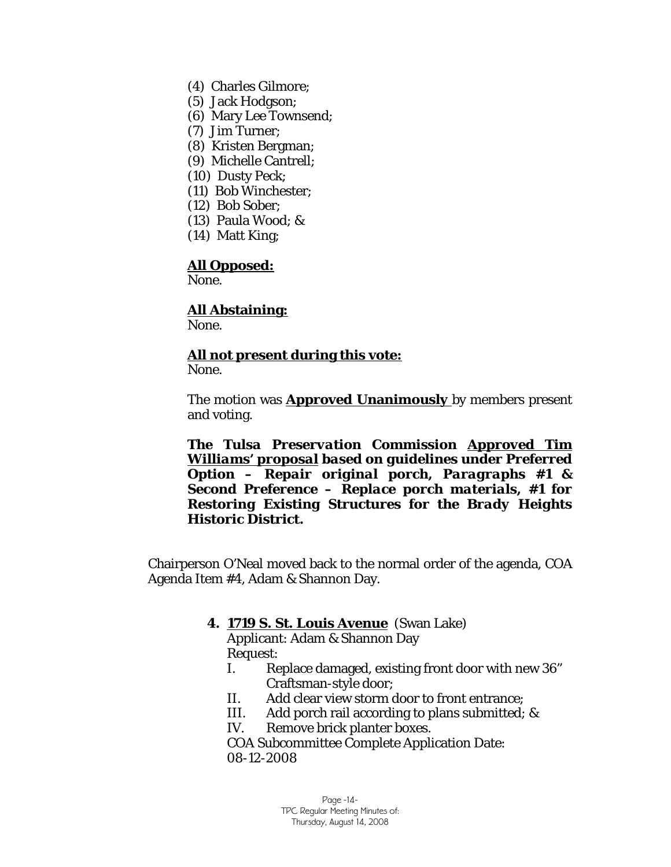- (4) Charles Gilmore;
- (5) Jack Hodgson;
- (6) Mary Lee Townsend;
- (7) Jim Turner;
- (8) Kristen Bergman;
- (9) Michelle Cantrell;
- (10) Dusty Peck;
- (11) Bob Winchester;
- (12) Bob Sober;
- (13) Paula Wood; &
- (14) Matt King;

### **All Opposed:**

None.

### **All Abstaining:**

None.

# **All not present during this vote:**

None.

The motion was **Approved Unanimously** by members present and voting.

*The Tulsa Preservation Commission Approved Tim Williams' proposal based on guidelines under Preferred Option – Repair original porch, Paragraphs #1 & Second Preference – Replace porch materials, #1 for Restoring Existing Structures for the Brady Heights Historic District.* 

Chairperson O'Neal moved back to the normal order of the agenda, COA Agenda Item #4, Adam & Shannon Day.

### **4. 1719 S. St. Louis Avenue** (Swan Lake)

Applicant: Adam & Shannon Day Request:

- I. Replace damaged, existing front door with new 36" Craftsman-style door;
- II. Add clear view storm door to front entrance;
- III. Add porch rail according to plans submitted; &
- IV. Remove brick planter boxes.

COA Subcommittee Complete Application Date: 08-12-2008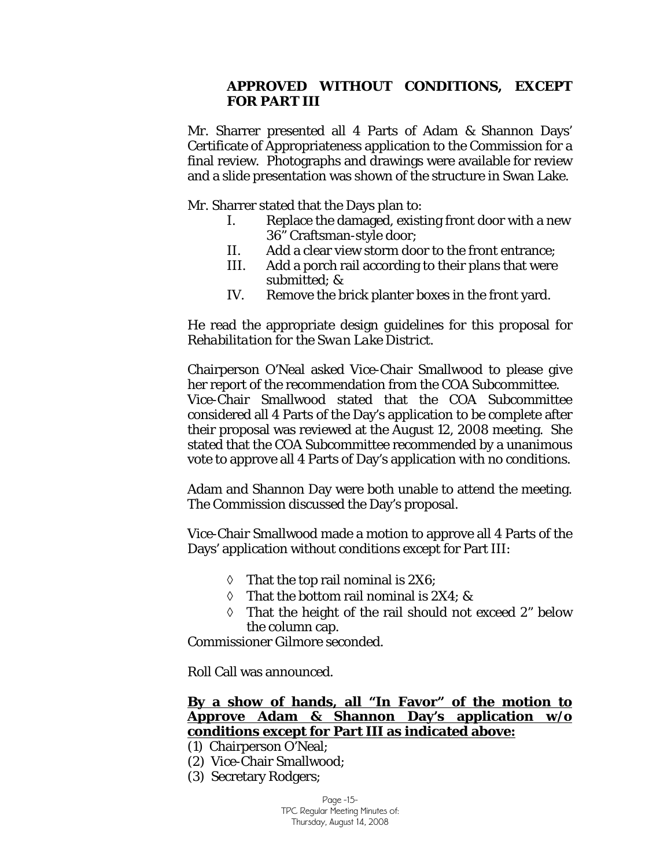### **APPROVED WITHOUT CONDITIONS, EXCEPT FOR PART III**

Mr. Sharrer presented all 4 Parts of Adam & Shannon Days' Certificate of Appropriateness application to the Commission for a final review. Photographs and drawings were available for review and a slide presentation was shown of the structure in Swan Lake.

Mr. Sharrer stated that the Days plan to:

- I. Replace the damaged, existing front door with a new 36" Craftsman-style door;
- II. Add a clear view storm door to the front entrance;
- III. Add a porch rail according to their plans that were submitted; &
- IV. Remove the brick planter boxes in the front yard.

He read the appropriate design guidelines for this proposal for *Rehabilitation for the Swan Lake District.* 

Chairperson O'Neal asked Vice-Chair Smallwood to please give her report of the recommendation from the COA Subcommittee. Vice-Chair Smallwood stated that the COA Subcommittee considered all 4 Parts of the Day's application to be complete after their proposal was reviewed at the August 12, 2008 meeting. She stated that the COA Subcommittee recommended by a unanimous vote to approve all 4 Parts of Day's application with no conditions.

Adam and Shannon Day were both unable to attend the meeting. The Commission discussed the Day's proposal.

Vice-Chair Smallwood made a motion to approve all 4 Parts of the Days' application without conditions except for Part III:

- $\Diamond$  That the top rail nominal is 2X6;
- $\Diamond$  That the bottom rail nominal is 2X4; &
- ◊ That the height of the rail should not exceed 2" below the column cap.

Commissioner Gilmore seconded.

Roll Call was announced.

### **By a show of hands, all "In Favor" of the motion to Approve Adam & Shannon Day's application w/o conditions except for Part III as indicated above:**

- (1) Chairperson O'Neal;
- (2) Vice-Chair Smallwood;
- (3) Secretary Rodgers;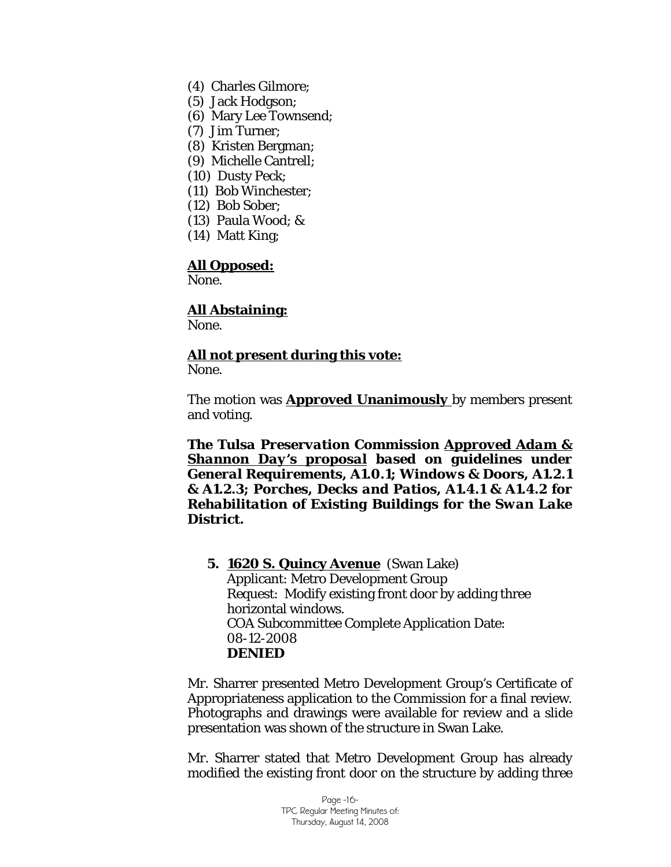- (4) Charles Gilmore;
- (5) Jack Hodgson;
- (6) Mary Lee Townsend;
- (7) Jim Turner;
- (8) Kristen Bergman;
- (9) Michelle Cantrell;
- (10) Dusty Peck;
- (11) Bob Winchester;
- (12) Bob Sober;
- (13) Paula Wood; &
- (14) Matt King;

### **All Opposed:**

None.

### **All Abstaining:**

None.

# **All not present during this vote:**

None.

The motion was **Approved Unanimously** by members present and voting.

*The Tulsa Preservation Commission Approved Adam & Shannon Day's proposal based on guidelines under General Requirements, A1.0.1; Windows & Doors, A1.2.1 & A1.2.3; Porches, Decks and Patios, A1.4.1 & A1.4.2 for Rehabilitation of Existing Buildings for the Swan Lake District.*

**5. 1620 S. Quincy Avenue** (Swan Lake) Applicant: Metro Development Group Request: Modify existing front door by adding three horizontal windows. COA Subcommittee Complete Application Date: 08-12-2008 **DENIED** 

Mr. Sharrer presented Metro Development Group's Certificate of Appropriateness application to the Commission for a final review. Photographs and drawings were available for review and a slide presentation was shown of the structure in Swan Lake.

Mr. Sharrer stated that Metro Development Group has already modified the existing front door on the structure by adding three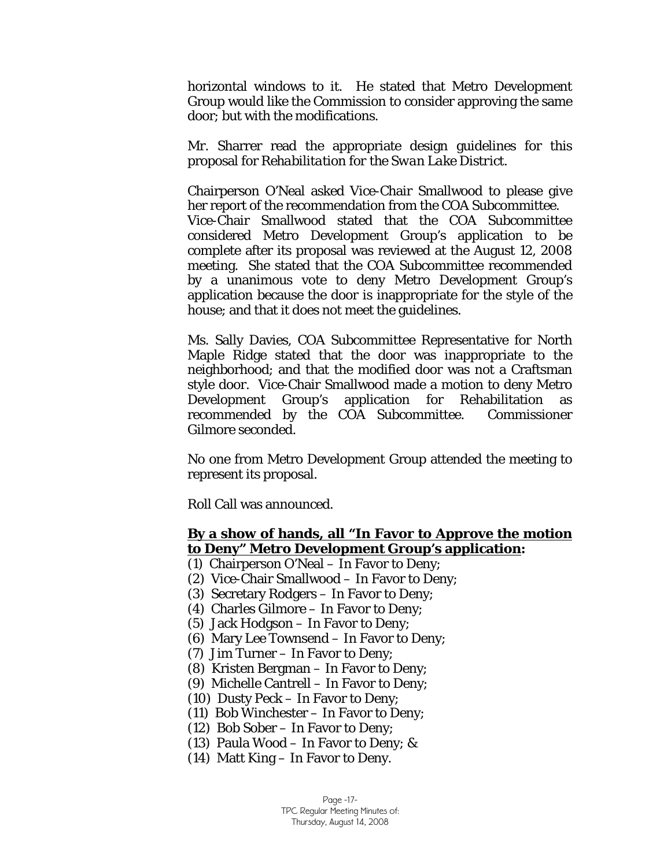horizontal windows to it. He stated that Metro Development Group would like the Commission to consider approving the same door; but with the modifications.

Mr. Sharrer read the appropriate design guidelines for this proposal for *Rehabilitation for the Swan Lake District.* 

Chairperson O'Neal asked Vice-Chair Smallwood to please give her report of the recommendation from the COA Subcommittee. Vice-Chair Smallwood stated that the COA Subcommittee considered Metro Development Group's application to be complete after its proposal was reviewed at the August 12, 2008 meeting. She stated that the COA Subcommittee recommended by a unanimous vote to deny Metro Development Group's application because the door is inappropriate for the style of the house; and that it does not meet the guidelines.

Ms. Sally Davies, COA Subcommittee Representative for North Maple Ridge stated that the door was inappropriate to the neighborhood; and that the modified door was not a Craftsman style door. Vice-Chair Smallwood made a motion to deny Metro Development Group's application for Rehabilitation as recommended by the COA Subcommittee. Commissioner Gilmore seconded.

No one from Metro Development Group attended the meeting to represent its proposal.

Roll Call was announced.

### **By a show of hands, all "In Favor to Approve the motion to Deny" Metro Development Group's application:**

- (1) Chairperson O'Neal In Favor to Deny;
- (2) Vice-Chair Smallwood In Favor to Deny;
- (3) Secretary Rodgers In Favor to Deny;
- (4) Charles Gilmore In Favor to Deny;
- (5) Jack Hodgson In Favor to Deny;
- (6) Mary Lee Townsend In Favor to Deny;
- (7) Jim Turner In Favor to Deny;
- (8) Kristen Bergman In Favor to Deny;
- (9) Michelle Cantrell In Favor to Deny;
- (10) Dusty Peck In Favor to Deny;
- (11) Bob Winchester In Favor to Deny;
- (12) Bob Sober In Favor to Deny;
- (13) Paula Wood In Favor to Deny; &
- (14) Matt King In Favor to Deny.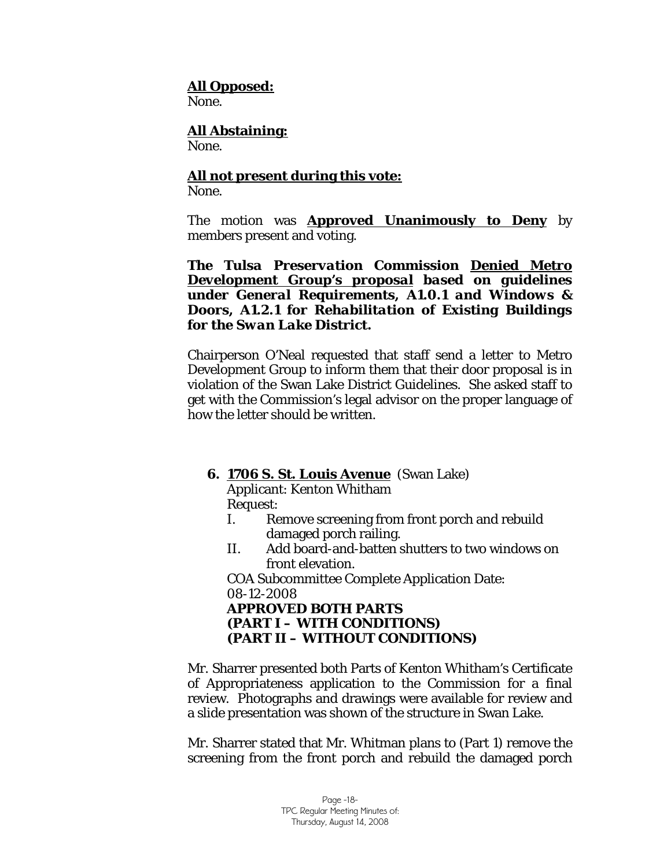### **All Opposed:**

None.

# **All Abstaining:**

None.

# **All not present during this vote:**

None.

The motion was **Approved Unanimously to Deny** by members present and voting.

*The Tulsa Preservation Commission Denied Metro Development Group's proposal based on guidelines under General Requirements, A1.0.1 and Windows & Doors, A1.2.1 for Rehabilitation of Existing Buildings for the Swan Lake District.* 

Chairperson O'Neal requested that staff send a letter to Metro Development Group to inform them that their door proposal is in violation of the Swan Lake District Guidelines. She asked staff to get with the Commission's legal advisor on the proper language of how the letter should be written.

### **6. 1706 S. St. Louis Avenue** (Swan Lake)

Applicant: Kenton Whitham Request:

- I. Remove screening from front porch and rebuild damaged porch railing.
- II. Add board-and-batten shutters to two windows on front elevation.

COA Subcommittee Complete Application Date: 08-12-2008

### **APPROVED BOTH PARTS (PART I – WITH CONDITIONS) (PART II – WITHOUT CONDITIONS)**

Mr. Sharrer presented both Parts of Kenton Whitham's Certificate of Appropriateness application to the Commission for a final review. Photographs and drawings were available for review and a slide presentation was shown of the structure in Swan Lake.

Mr. Sharrer stated that Mr. Whitman plans to (Part 1) remove the screening from the front porch and rebuild the damaged porch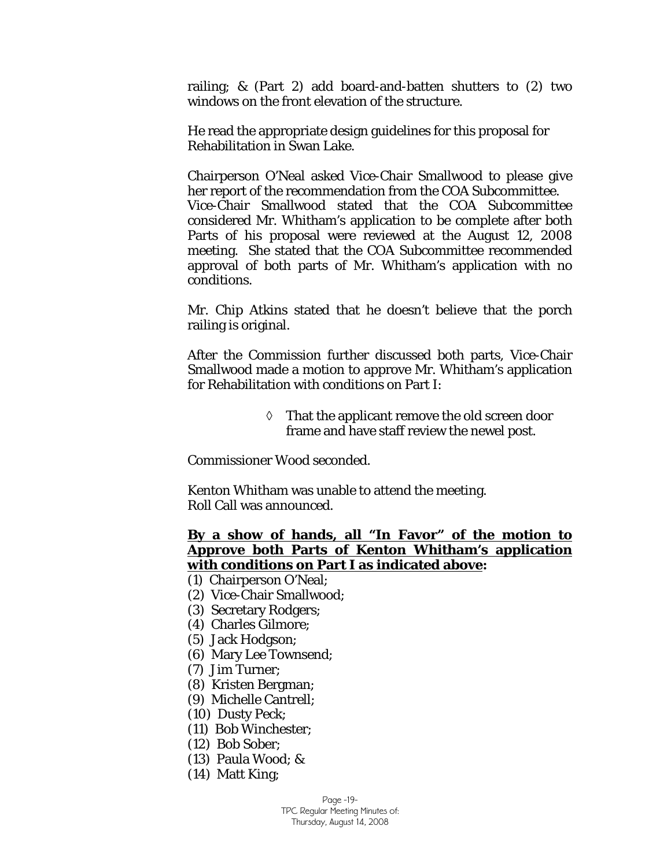railing; & (Part 2) add board-and-batten shutters to (2) two windows on the front elevation of the structure.

He read the appropriate design guidelines for this proposal for Rehabilitation in Swan Lake.

Chairperson O'Neal asked Vice-Chair Smallwood to please give her report of the recommendation from the COA Subcommittee. Vice-Chair Smallwood stated that the COA Subcommittee considered Mr. Whitham's application to be complete after both Parts of his proposal were reviewed at the August 12, 2008 meeting. She stated that the COA Subcommittee recommended approval of both parts of Mr. Whitham's application with no conditions.

Mr. Chip Atkins stated that he doesn't believe that the porch railing is original.

After the Commission further discussed both parts, Vice-Chair Smallwood made a motion to approve Mr. Whitham's application for Rehabilitation with conditions on Part I:

> ◊ That the applicant remove the old screen door frame and have staff review the newel post.

Commissioner Wood seconded.

Kenton Whitham was unable to attend the meeting. Roll Call was announced.

### **By a show of hands, all "In Favor" of the motion to Approve both Parts of Kenton Whitham's application with conditions on Part I as indicated above:**

- (1) Chairperson O'Neal;
- (2) Vice-Chair Smallwood;
- (3) Secretary Rodgers;
- (4) Charles Gilmore;
- (5) Jack Hodgson;
- (6) Mary Lee Townsend;
- (7) Jim Turner;
- (8) Kristen Bergman;
- (9) Michelle Cantrell;
- (10) Dusty Peck;
- (11) Bob Winchester;
- (12) Bob Sober;
- (13) Paula Wood; &
- (14) Matt King;

Page -19-

TPC Regular Meeting Minutes of: Thursday, August 14, 2008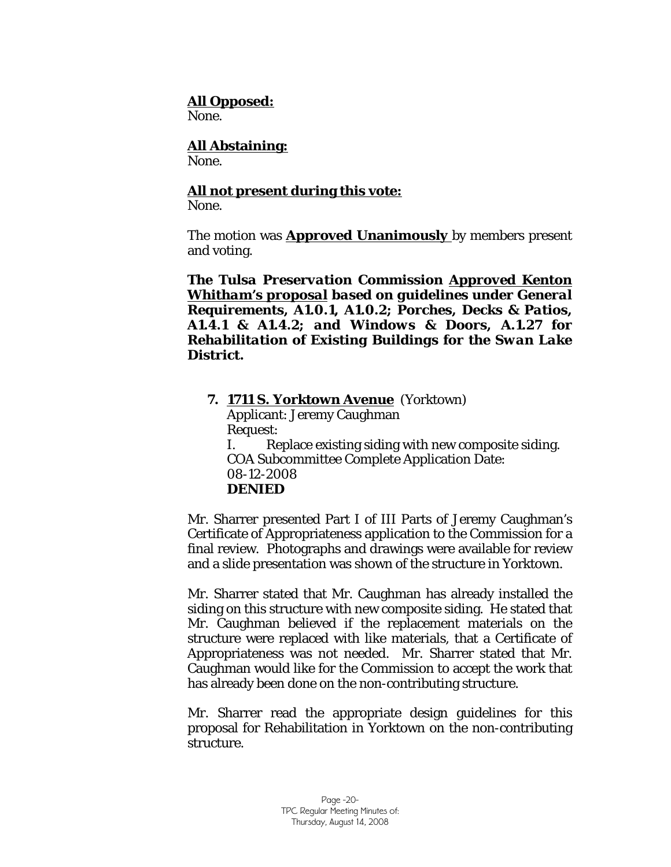### **All Opposed:**

None.

### **All Abstaining:**

None.

### **All not present during this vote:**

None.

The motion was **Approved Unanimously** by members present and voting.

*The Tulsa Preservation Commission Approved Kenton Whitham's proposal based on guidelines under General Requirements, A1.0.1, A1.0.2; Porches, Decks & Patios, A1.4.1 & A1.4.2; and Windows & Doors, A.1.27 for Rehabilitation of Existing Buildings for the Swan Lake District.*

**7. 1711 S. Yorktown Avenue** (Yorktown) Applicant: Jeremy Caughman Request: I. Replace existing siding with new composite siding. COA Subcommittee Complete Application Date: 08-12-2008 **DENIED** 

Mr. Sharrer presented Part I of III Parts of Jeremy Caughman's Certificate of Appropriateness application to the Commission for a final review. Photographs and drawings were available for review and a slide presentation was shown of the structure in Yorktown.

Mr. Sharrer stated that Mr. Caughman has already installed the siding on this structure with new composite siding. He stated that Mr. Caughman believed if the replacement materials on the structure were replaced with like materials, that a Certificate of Appropriateness was not needed. Mr. Sharrer stated that Mr. Caughman would like for the Commission to accept the work that has already been done on the non-contributing structure.

Mr. Sharrer read the appropriate design guidelines for this proposal for Rehabilitation in Yorktown on the non-contributing structure.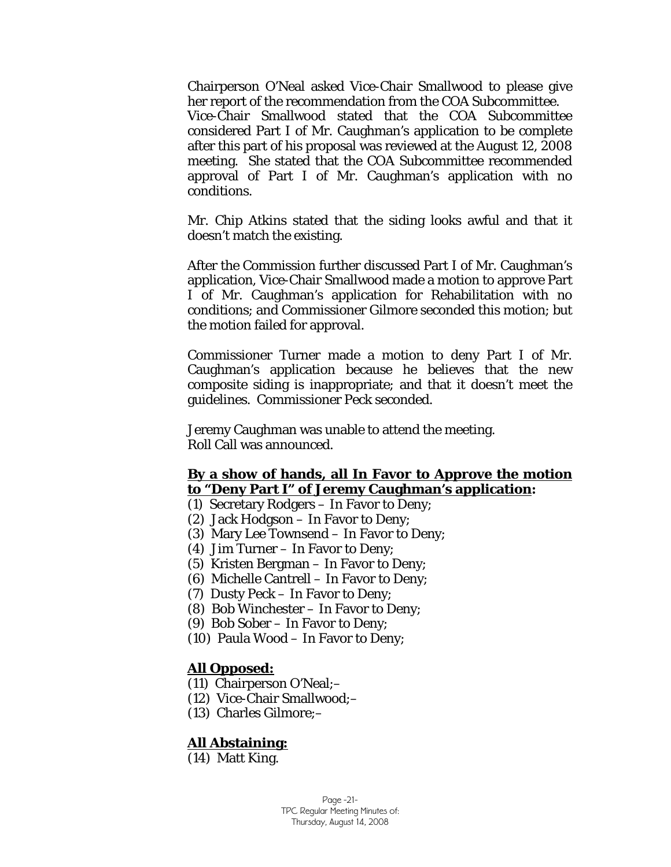Chairperson O'Neal asked Vice-Chair Smallwood to please give her report of the recommendation from the COA Subcommittee. Vice-Chair Smallwood stated that the COA Subcommittee considered Part I of Mr. Caughman's application to be complete after this part of his proposal was reviewed at the August 12, 2008 meeting. She stated that the COA Subcommittee recommended approval of Part I of Mr. Caughman's application with no conditions.

Mr. Chip Atkins stated that the siding looks awful and that it doesn't match the existing.

After the Commission further discussed Part I of Mr. Caughman's application, Vice-Chair Smallwood made a motion to approve Part I of Mr. Caughman's application for Rehabilitation with no conditions; and Commissioner Gilmore seconded this motion; but the motion failed for approval.

Commissioner Turner made a motion to deny Part I of Mr. Caughman's application because he believes that the new composite siding is inappropriate; and that it doesn't meet the guidelines. Commissioner Peck seconded.

Jeremy Caughman was unable to attend the meeting. Roll Call was announced.

### **By a show of hands, all In Favor to Approve the motion to "Deny Part I" of Jeremy Caughman's application:**

- (1) Secretary Rodgers In Favor to Deny;
- (2) Jack Hodgson In Favor to Deny;
- (3) Mary Lee Townsend In Favor to Deny;
- (4) Jim Turner In Favor to Deny;
- (5) Kristen Bergman In Favor to Deny;
- (6) Michelle Cantrell In Favor to Deny;
- (7) Dusty Peck In Favor to Deny;
- (8) Bob Winchester In Favor to Deny;
- (9) Bob Sober In Favor to Deny;
- (10) Paula Wood In Favor to Deny;

### **All Opposed:**

- (11) Chairperson O'Neal;–
- (12) Vice-Chair Smallwood;–
- (13) Charles Gilmore;–

### **All Abstaining:**

(14) Matt King.

Page -21- TPC Regular Meeting Minutes of: Thursday, August 14, 2008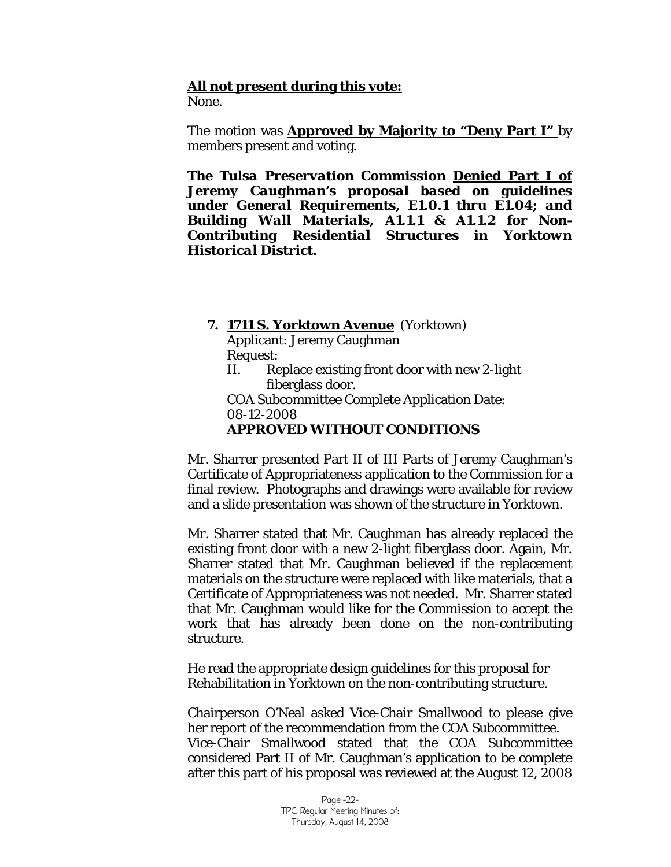### **All not present during this vote:**

None.

The motion was **Approved by Majority to "Deny Part I"** by members present and voting.

*The Tulsa Preservation Commission Denied Part I of Jeremy Caughman's proposal based on guidelines under General Requirements, E1.0.1 thru E1.04; and Building Wall Materials, A1.1.1 & A1.1.2 for Non-Contributing Residential Structures in Yorktown Historical District.*

**7. 1711 S. Yorktown Avenue** (Yorktown)

Applicant: Jeremy Caughman Request:

II. Replace existing front door with new 2-light fiberglass door.

COA Subcommittee Complete Application Date: 08-12-2008

### **APPROVED WITHOUT CONDITIONS**

Mr. Sharrer presented Part II of III Parts of Jeremy Caughman's Certificate of Appropriateness application to the Commission for a final review. Photographs and drawings were available for review and a slide presentation was shown of the structure in Yorktown.

Mr. Sharrer stated that Mr. Caughman has already replaced the existing front door with a new 2-light fiberglass door. Again, Mr. Sharrer stated that Mr. Caughman believed if the replacement materials on the structure were replaced with like materials, that a Certificate of Appropriateness was not needed. Mr. Sharrer stated that Mr. Caughman would like for the Commission to accept the work that has already been done on the non-contributing structure.

He read the appropriate design guidelines for this proposal for Rehabilitation in Yorktown on the non-contributing structure.

Chairperson O'Neal asked Vice-Chair Smallwood to please give her report of the recommendation from the COA Subcommittee. Vice-Chair Smallwood stated that the COA Subcommittee considered Part II of Mr. Caughman's application to be complete after this part of his proposal was reviewed at the August 12, 2008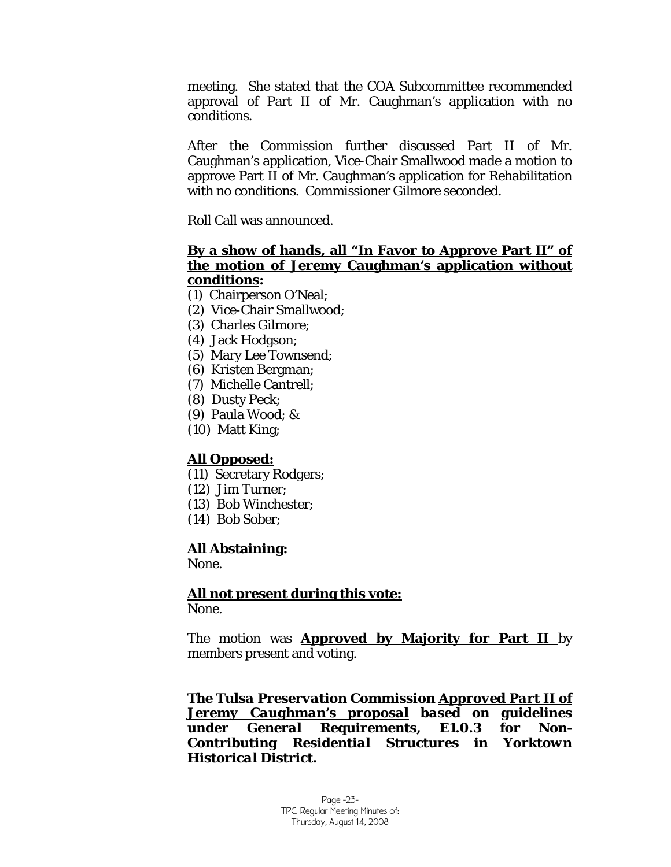meeting. She stated that the COA Subcommittee recommended approval of Part II of Mr. Caughman's application with no conditions.

After the Commission further discussed Part II of Mr. Caughman's application, Vice-Chair Smallwood made a motion to approve Part II of Mr. Caughman's application for Rehabilitation with no conditions. Commissioner Gilmore seconded.

Roll Call was announced.

### **By a show of hands, all "In Favor to Approve Part II" of the motion of Jeremy Caughman's application without conditions:**

- (1) Chairperson O'Neal;
- (2) Vice-Chair Smallwood;
- (3) Charles Gilmore;
- (4) Jack Hodgson;
- (5) Mary Lee Townsend;
- (6) Kristen Bergman;
- (7) Michelle Cantrell;
- (8) Dusty Peck;
- (9) Paula Wood; &
- (10) Matt King;

### **All Opposed:**

- (11) Secretary Rodgers;
- (12) Jim Turner;
- (13) Bob Winchester;
- (14) Bob Sober;

### **All Abstaining:**

None.

### **All not present during this vote:**

None.

The motion was **Approved by Majority for Part II** by members present and voting.

*The Tulsa Preservation Commission Approved Part II of Jeremy Caughman's proposal based on guidelines under General Requirements, E1.0.3 for Non-Contributing Residential Structures in Yorktown Historical District.*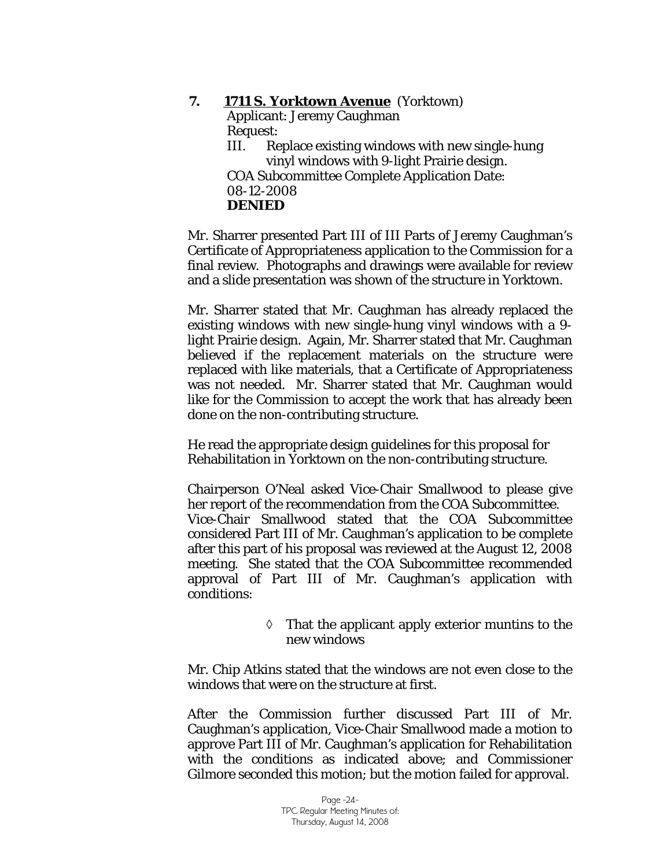### **7. 1711 S. Yorktown Avenue** (Yorktown) Applicant: Jeremy Caughman Request: III. Replace existing windows with new single-hung vinyl windows with 9-light Prairie design. COA Subcommittee Complete Application Date: 08-12-2008 **DENIED**

Mr. Sharrer presented Part III of III Parts of Jeremy Caughman's Certificate of Appropriateness application to the Commission for a final review. Photographs and drawings were available for review and a slide presentation was shown of the structure in Yorktown.

Mr. Sharrer stated that Mr. Caughman has already replaced the existing windows with new single-hung vinyl windows with a 9 light Prairie design. Again, Mr. Sharrer stated that Mr. Caughman believed if the replacement materials on the structure were replaced with like materials, that a Certificate of Appropriateness was not needed. Mr. Sharrer stated that Mr. Caughman would like for the Commission to accept the work that has already been done on the non-contributing structure.

He read the appropriate design guidelines for this proposal for Rehabilitation in Yorktown on the non-contributing structure.

Chairperson O'Neal asked Vice-Chair Smallwood to please give her report of the recommendation from the COA Subcommittee. Vice-Chair Smallwood stated that the COA Subcommittee considered Part III of Mr. Caughman's application to be complete after this part of his proposal was reviewed at the August 12, 2008 meeting. She stated that the COA Subcommittee recommended approval of Part III of Mr. Caughman's application with conditions:

> ◊ That the applicant apply exterior muntins to the new windows

Mr. Chip Atkins stated that the windows are not even close to the windows that were on the structure at first.

After the Commission further discussed Part III of Mr. Caughman's application, Vice-Chair Smallwood made a motion to approve Part III of Mr. Caughman's application for Rehabilitation with the conditions as indicated above; and Commissioner Gilmore seconded this motion; but the motion failed for approval.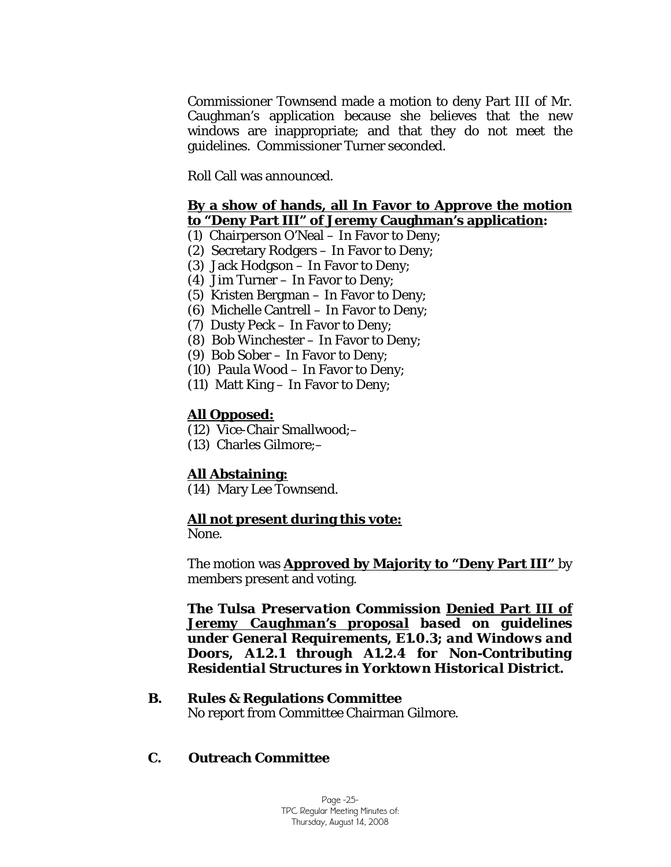Commissioner Townsend made a motion to deny Part III of Mr. Caughman's application because she believes that the new windows are inappropriate; and that they do not meet the guidelines. Commissioner Turner seconded.

Roll Call was announced.

### **By a show of hands, all In Favor to Approve the motion to "Deny Part III" of Jeremy Caughman's application:**

- (1) Chairperson O'Neal In Favor to Deny;
- (2) Secretary Rodgers In Favor to Deny;
- (3) Jack Hodgson In Favor to Deny;
- (4) Jim Turner In Favor to Deny;
- (5) Kristen Bergman In Favor to Deny;
- (6) Michelle Cantrell In Favor to Deny;
- (7) Dusty Peck In Favor to Deny;
- (8) Bob Winchester In Favor to Deny;
- (9) Bob Sober In Favor to Deny;
- (10) Paula Wood In Favor to Deny;
- (11) Matt King In Favor to Deny;

# **All Opposed:**

- (12) Vice-Chair Smallwood;–
- (13) Charles Gilmore;–

# **All Abstaining:**

(14) Mary Lee Townsend.

### **All not present during this vote:**

None.

The motion was **Approved by Majority to "Deny Part III"** by members present and voting.

*The Tulsa Preservation Commission Denied Part III of Jeremy Caughman's proposal based on guidelines under General Requirements, E1.0.3; and Windows and Doors, A1.2.1 through A1.2.4 for Non-Contributing Residential Structures in Yorktown Historical District.*

### **B. Rules & Regulations Committee**

No report from Committee Chairman Gilmore.

# **C. Outreach Committee**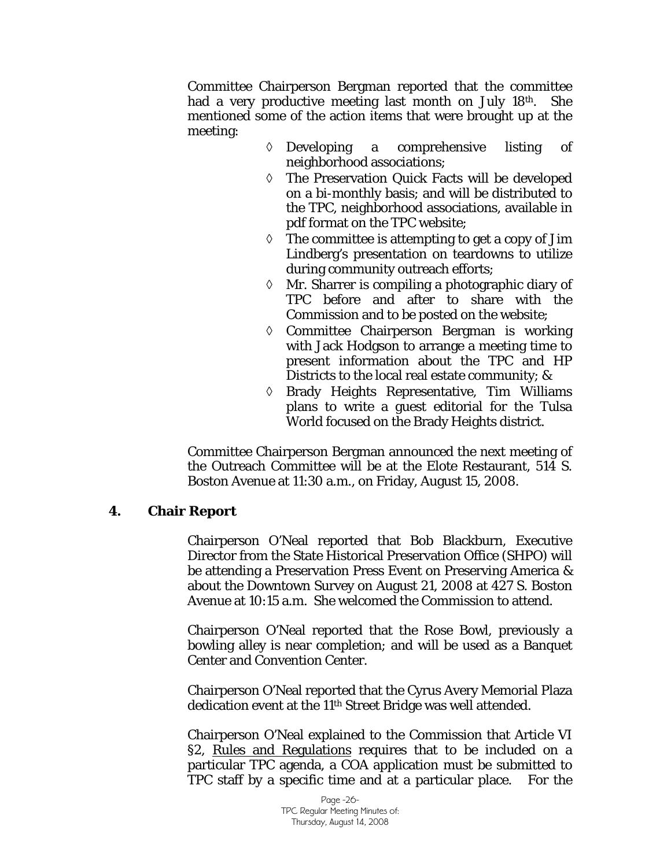Committee Chairperson Bergman reported that the committee had a very productive meeting last month on July 18th. She mentioned some of the action items that were brought up at the meeting:

- ◊ Developing a comprehensive listing of neighborhood associations;
- ◊ The Preservation Quick Facts will be developed on a bi-monthly basis; and will be distributed to the TPC, neighborhood associations, available in pdf format on the TPC website;
- $\Diamond$  The committee is attempting to get a copy of Jim Lindberg's presentation on teardowns to utilize during community outreach efforts;
- ◊ Mr. Sharrer is compiling a photographic diary of TPC before and after to share with the Commission and to be posted on the website;
- ◊ Committee Chairperson Bergman is working with Jack Hodgson to arrange a meeting time to present information about the TPC and HP Districts to the local real estate community; &
- ◊ Brady Heights Representative, Tim Williams plans to write a guest editorial for the Tulsa World focused on the Brady Heights district.

Committee Chairperson Bergman announced the next meeting of the Outreach Committee will be at the Elote Restaurant, 514 S. Boston Avenue at 11:30 a.m., on Friday, August 15, 2008.

### **4. Chair Report**

Chairperson O'Neal reported that Bob Blackburn, Executive Director from the State Historical Preservation Office (SHPO) will be attending a Preservation Press Event on Preserving America & about the Downtown Survey on August 21, 2008 at 427 S. Boston Avenue at 10:15 a.m. She welcomed the Commission to attend.

Chairperson O'Neal reported that the Rose Bowl, previously a bowling alley is near completion; and will be used as a Banquet Center and Convention Center.

Chairperson O'Neal reported that the Cyrus Avery Memorial Plaza dedication event at the 11th Street Bridge was well attended.

Chairperson O'Neal explained to the Commission that Article VI §2, Rules and Regulations requires that to be included on a particular TPC agenda, a COA application must be submitted to TPC staff by a specific time and at a particular place. For the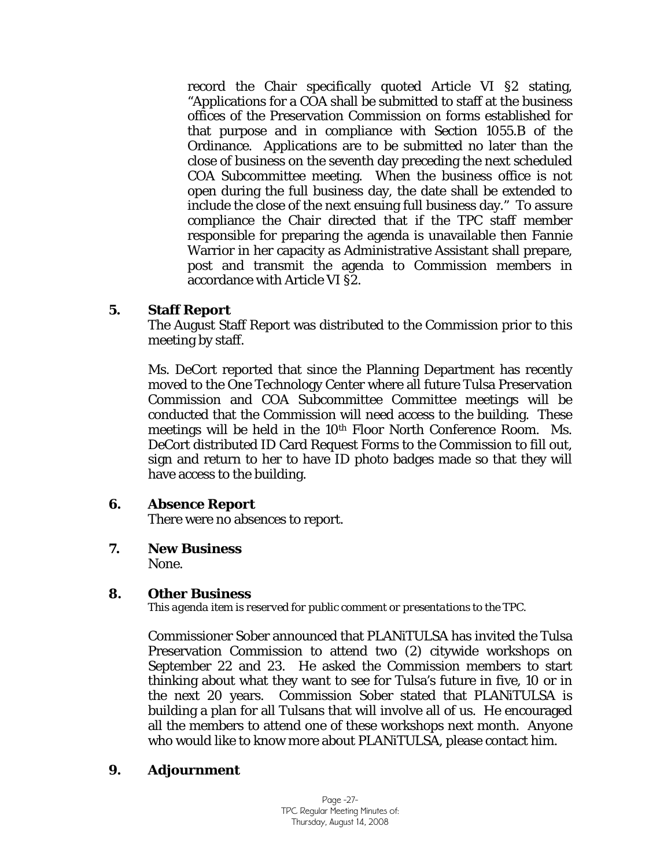record the Chair specifically quoted Article VI §2 stating, "Applications for a COA shall be submitted to staff at the business offices of the Preservation Commission on forms established for that purpose and in compliance with Section 1055.B of the Ordinance. Applications are to be submitted no later than the close of business on the seventh day preceding the next scheduled COA Subcommittee meeting. When the business office is not open during the full business day, the date shall be extended to include the close of the next ensuing full business day." To assure compliance the Chair directed that if the TPC staff member responsible for preparing the agenda is unavailable then Fannie Warrior in her capacity as Administrative Assistant shall prepare, post and transmit the agenda to Commission members in accordance with Article VI §2.

### **5. Staff Report**

The August Staff Report was distributed to the Commission prior to this meeting by staff.

Ms. DeCort reported that since the Planning Department has recently moved to the One Technology Center where all future Tulsa Preservation Commission and COA Subcommittee Committee meetings will be conducted that the Commission will need access to the building. These meetings will be held in the 10th Floor North Conference Room. Ms. DeCort distributed ID Card Request Forms to the Commission to fill out, sign and return to her to have ID photo badges made so that they will have access to the building.

# **6. Absence Report**

There were no absences to report.

**7. New Business** 

None.

# **8. Other Business**

*This agenda item is reserved for public comment or presentations to the TPC.* 

Commissioner Sober announced that PLANiTULSA has invited the Tulsa Preservation Commission to attend two (2) citywide workshops on September 22 and 23. He asked the Commission members to start thinking about what they want to see for Tulsa's future in five, 10 or in the next 20 years. Commission Sober stated that PLANiTULSA is building a plan for all Tulsans that will involve all of us. He encouraged all the members to attend one of these workshops next month. Anyone who would like to know more about PLANiTULSA, please contact him.

# **9. Adjournment**